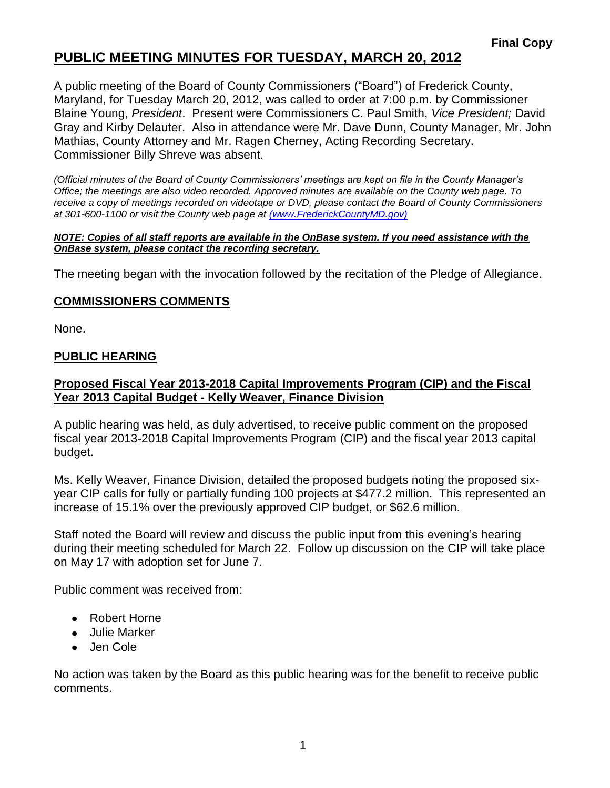## **PUBLIC MEETING MINUTES FOR TUESDAY, MARCH 20, 2012**

A public meeting of the Board of County Commissioners ("Board") of Frederick County, Maryland, for Tuesday March 20, 2012, was called to order at 7:00 p.m. by Commissioner Blaine Young, *President*. Present were Commissioners C. Paul Smith, *Vice President;* David Gray and Kirby Delauter. Also in attendance were Mr. Dave Dunn, County Manager, Mr. John Mathias, County Attorney and Mr. Ragen Cherney, Acting Recording Secretary. Commissioner Billy Shreve was absent.

*(Official minutes of the Board of County Commissioners' meetings are kept on file in the County Manager's Office; the meetings are also video recorded. Approved minutes are available on the County web page. To receive a copy of meetings recorded on videotape or DVD, please contact the Board of County Commissioners at 301-600-1100 or visit the County web page at [\(www.FrederickCountyMD.gov\)](file://NT1S5/BOCC/BOCC/BOCC%20Minutes/Patti)*

#### *NOTE: Copies of all staff reports are available in the OnBase system. If you need assistance with the OnBase system, please contact the recording secretary.*

The meeting began with the invocation followed by the recitation of the Pledge of Allegiance.

### **COMMISSIONERS COMMENTS**

None.

### **PUBLIC HEARING**

### **Proposed Fiscal Year 2013-2018 Capital Improvements Program (CIP) and the Fiscal Year 2013 Capital Budget - Kelly Weaver, Finance Division**

A public hearing was held, as duly advertised, to receive public comment on the proposed fiscal year 2013-2018 Capital Improvements Program (CIP) and the fiscal year 2013 capital budget.

Ms. Kelly Weaver, Finance Division, detailed the proposed budgets noting the proposed sixyear CIP calls for fully or partially funding 100 projects at \$477.2 million. This represented an increase of 15.1% over the previously approved CIP budget, or \$62.6 million.

Staff noted the Board will review and discuss the public input from this evening's hearing during their meeting scheduled for March 22. Follow up discussion on the CIP will take place on May 17 with adoption set for June 7.

Public comment was received from:

- Robert Horne
- Julie Marker
- Jen Cole

No action was taken by the Board as this public hearing was for the benefit to receive public comments.